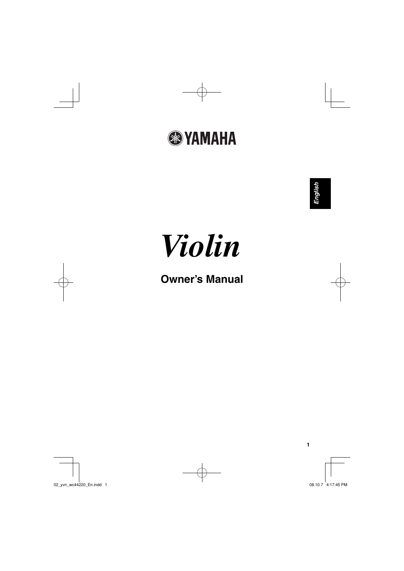



# **Owner's Manual**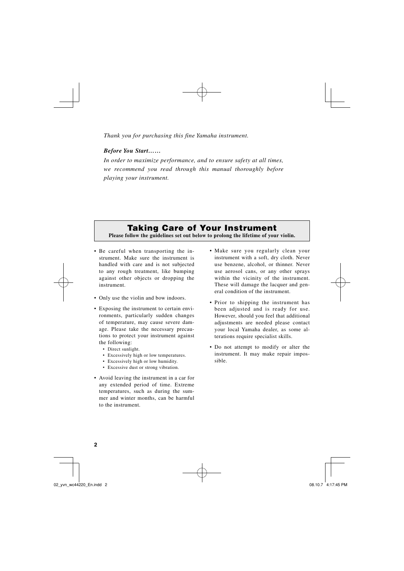*Thank you for purchasing this fine Yamaha instrument.*

## *Before You Start……*

*In order to maximize performance, and to ensure safety at all times, we recommend you read through this manual thoroughly before playing your instrument.*

# **Taking Care of Your Instrument**

**Please follow the guidelines set out below to prolong the lifetime of your violin.** 

- Be careful when transporting the instrument. Make sure the instrument is handled with care and is not subjected to any rough treatment, like bumping against other objects or dropping the instrument.
- Only use the violin and bow indoors.
- Exposing the instrument to certain environments, particularly sudden changes of temperature, may cause severe damage. Please take the necessary precautions to protect your instrument against the following:
	- Direct sunlight.
	- Excessively high or low temperatures.
	- Excessively high or low humidity.
	- Excessive dust or strong vibration.
- Avoid leaving the instrument in a car for any extended period of time. Extreme temperatures, such as during the summer and winter months, can be harmful to the instrument.
- Make sure you regularly clean your instrument with a soft, dry cloth. Never use benzene, alcohol, or thinner. Never use aerosol cans, or any other sprays within the vicinity of the instrument. These will damage the lacquer and general condition of the instrument.
- Prior to shipping the instrument has been adjusted and is ready for use. However, should you feel that additional adjustments are needed please contact your local Yamaha dealer, as some alterations require specialist skills.
- Do not attempt to modify or alter the instrument. It may make repair impossible.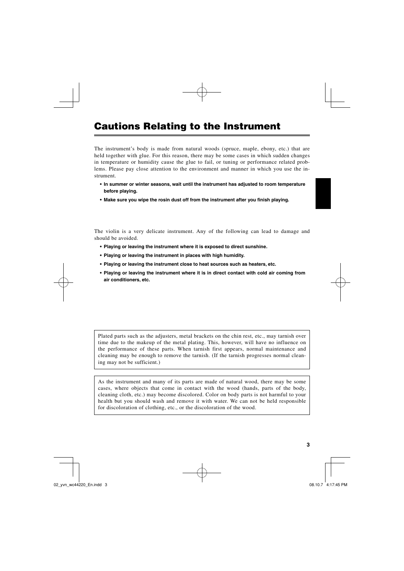# **Cautions Relating to the Instrument**

The instrument's body is made from natural woods (spruce, maple, ebony, etc.) that are held together with glue. For this reason, there may be some cases in which sudden changes in temperature or humidity cause the glue to fail, or tuning or performance related problems. Please pay close attention to the environment and manner in which you use the instrument.

- **In summer or winter seasons, wait until the instrument has adjusted to room temperature before playing.**
- Make sure you wipe the rosin dust off from the instrument after you finish playing.

The violin is a very delicate instrument. Any of the following can lead to damage and should be avoided.

- **Playing or leaving the instrument where it is exposed to direct sunshine.**
- **Playing or leaving the instrument in places with high humidity.**
- **Playing or leaving the instrument close to heat sources such as heaters, etc.**
- **Playing or leaving the instrument where it is in direct contact with cold air coming from air conditioners, etc.**

Plated parts such as the adjusters, metal brackets on the chin rest, etc., may tarnish over time due to the makeup of the metal plating. This, however, will have no influence on the performance of these parts. When tarnish first appears, normal maintenance and cleaning may be enough to remove the tarnish. (If the tarnish progresses normal cleaning may not be sufficient.)

As the instrument and many of its parts are made of natural wood, there may be some cases, where objects that come in contact with the wood (hands, parts of the body, cleaning cloth, etc.) may become discolored. Color on body parts is not harmful to your health but you should wash and remove it with water. We can not be held responsible for discoloration of clothing, etc., or the discoloration of the wood.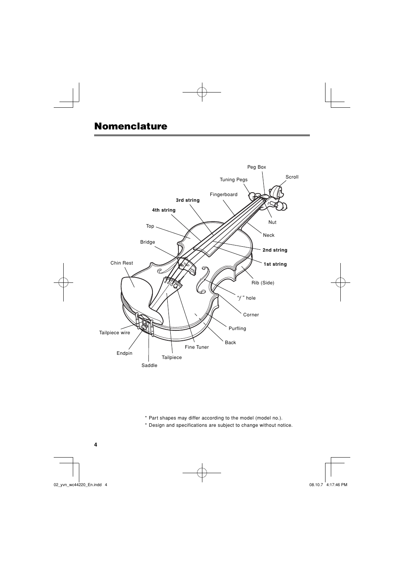# **Nomenclature**



- \* Part shapes may differ according to the model (model no.).
- \* Design and specifications are subject to change without notice.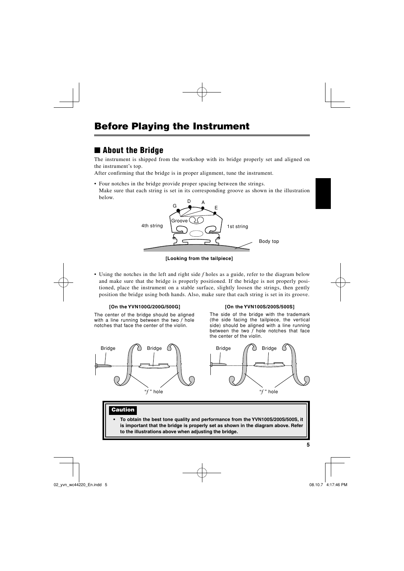# ■ **About the Bridge**

The instrument is shipped from the workshop with its bridge properly set and aligned on the instrument's top.

After confirming that the bridge is in proper alignment, tune the instrument.

- Four notches in the bridge provide proper spacing between the strings.
- Make sure that each string is set in its corresponding groove as shown in the illustration below.



**[Looking from the tailpiece]**

• Using the notches in the left and right side *f* holes as a guide, refer to the diagram below and make sure that the bridge is properly positioned. If the bridge is not properly positioned, place the instrument on a stable surface, slightly loosen the strings, then gently position the bridge using both hands. Also, make sure that each string is set in its groove.

### **[On the YVN100G/200G/500G]**

The center of the bridge should be aligned with a line running between the two *f* hole notches that face the center of the violin.



### **[On the YVN100S/200S/500S]**

The side of the bridge with the trademark (the side facing the tailpiece, the vertical side) should be aligned with a line running between the two *f* hole notches that face the center of the violin.



## **Caution**

**• To obtain the best tone quality and performance from the YVN100S/200S/500S, it is important that the bridge is properly set as shown in the diagram above. Refer to the illustrations above when adjusting the bridge.**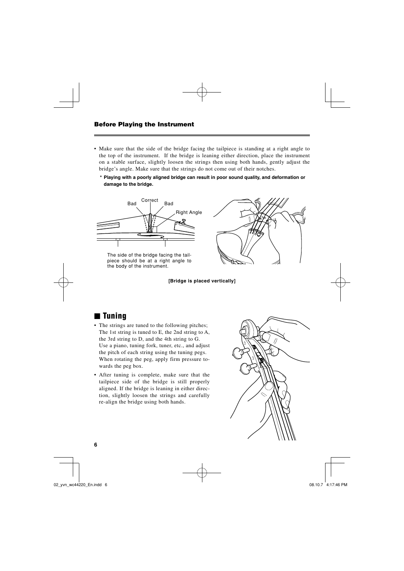- Make sure that the side of the bridge facing the tailpiece is standing at a right angle to the top of the instrument. If the bridge is leaning either direction, place the instrument on a stable surface, slightly loosen the strings then using both hands, gently adjust the bridge's angle. Make sure that the strings do not come out of their notches.
	- **\* Playing with a poorly aligned bridge can result in poor sound quality, and deformation or damage to the bridge.**



The side of the bridge facing the tailpiece should be at a right angle to the body of the instrument.



**[Bridge is placed vertically]**

# ■ **Tuning**

- The strings are tuned to the following pitches; The 1st string is tuned to E, the 2nd string to A, the 3rd string to D, and the 4th string to G. Use a piano, tuning fork, tuner, etc., and adjust the pitch of each string using the tuning pegs. When rotating the peg, apply firm pressure towards the peg box.
- After tuning is complete, make sure that the tailpiece side of the bridge is still properly aligned. If the bridge is leaning in either direction, slightly loosen the strings and carefully re-align the bridge using both hands.

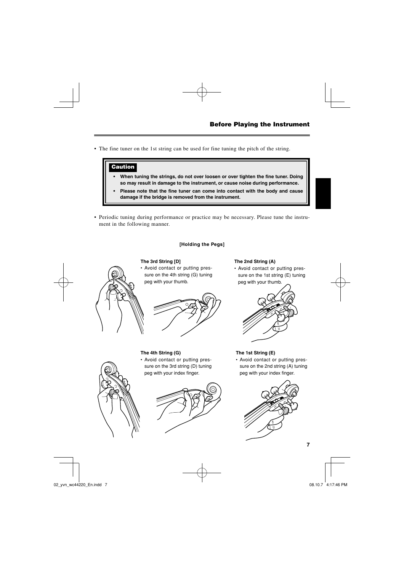• The fine tuner on the 1st string can be used for fine tuning the pitch of the string.

# **Caution**

- When tuning the strings, do not over loosen or over tighten the fine tuner. Doing **so may result in damage to the instrument, or cause noise during performance.**
- Please note that the fine tuner can come into contact with the body and cause **damage if the bridge is removed from the instrument.**
- Periodic tuning during performance or practice may be necessary. Please tune the instrument in the following manner.

## **[Holding the Pegs]**

## **The 3rd String [D]**

• Avoid contact or putting pressure on the 4th string (G) tuning peg with your thumb.

### **The 2nd String (A)**

• Avoid contact or putting pressure on the 1st string (E) tuning peg with your thumb.



## **The 4th String (G)**

• Avoid contact or putting pressure on the 3rd string (D) tuning peg with your index finger.



## **The 1st String (E)**

• Avoid contact or putting pressure on the 2nd string (A) tuning peg with your index finger.





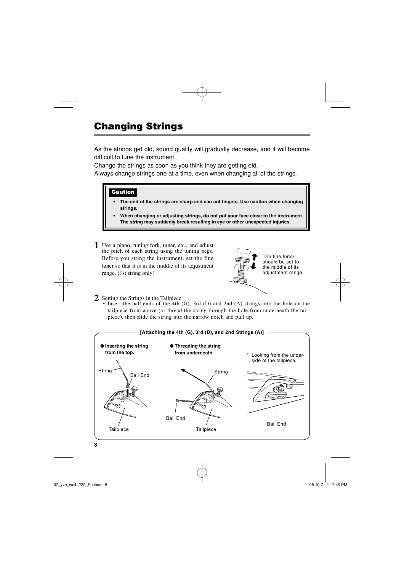# **Changing Strings**

As the strings get old, sound quality will gradually decrease, and it will become difficult to tune the instrument.

Change the strings as soon as you think they are getting old.

Always change strings one at a time, even when changing all of the strings.

## **Caution**

- The end of the strings are sharp and can cut fingers. Use caution when changing **strings.**
- **When changing or adjusting strings, do not put your face close to the instrument. The string may suddenly break resulting in eye or other unexpected injuries.**
- **1** Use a piano, tuning fork, tuner, etc., and adjust the pitch of each string using the tuning pegs. Before you string the instrument, set the fine tuner so that it is in the middle of its adjustment range. (1st string only)



The fine tuner should be set to the middle of its adjustment range.

- **2** Setting the Strings in the Tailpiece.
	- Insert the ball ends of the 4th (G), 3rd (D) and 2nd (A) strings into the hole on the tailpiece from above (or thread the string through the hole from underneath the tailpiece), then slide the string into the narrow notch and pull up.

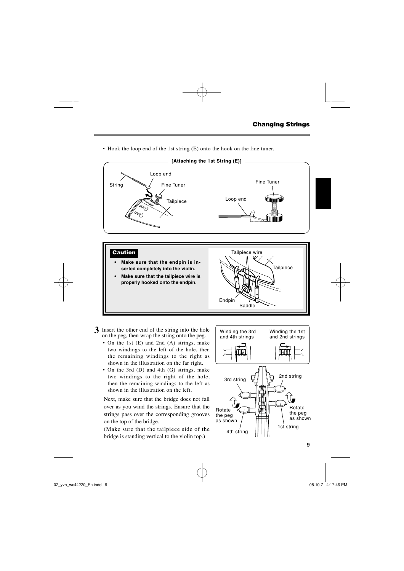• Hook the loop end of the 1st string (E) onto the hook on the fine tuner.



- **3** Insert the other end of the string into the hole on the peg, then wrap the string onto the peg.
	- On the 1st (E) and 2nd (A) strings, make two windings to the left of the hole, then the remaining windings to the right as shown in the illustration on the far right.
	- On the 3rd (D) and 4th (G) strings, make two windings to the right of the hole, then the remaining windings to the left as shown in the illustration on the left.

 Next, make sure that the bridge does not fall over as you wind the strings. Ensure that the strings pass over the corresponding grooves on the top of the bridge.

 (Make sure that the tailpiece side of the bridge is standing vertical to the violin top.)